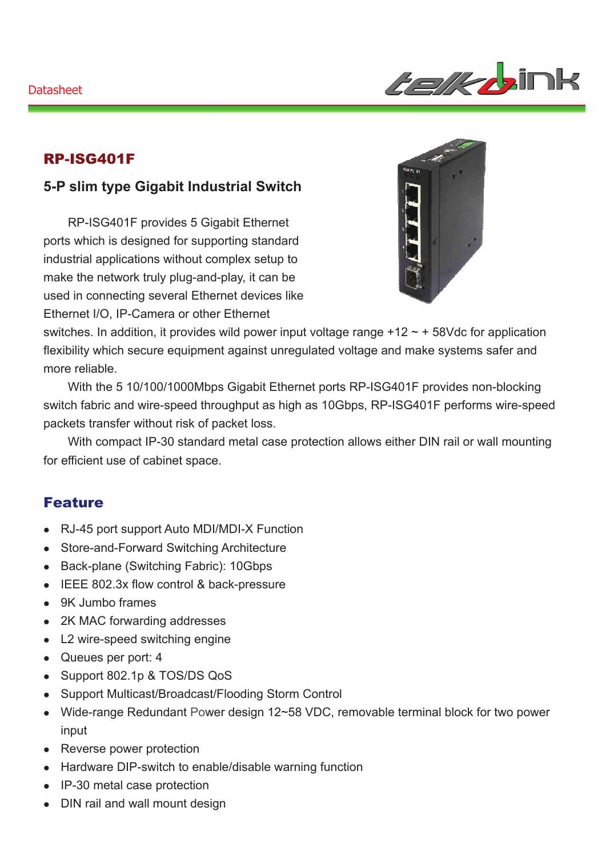

## RP-ISG401F

## **5-P slim type Gigabit Industrial Switch**

RP-ISG401F provides 5 Gigabit Ethernet ports which is designed for supporting standard industrial applications without complex setup to make the network truly plug-and-play, it can be used in connecting several Ethernet devices like Ethernet I/O, IP-Camera or other Ethernet



switches. In addition, it provides wild power input voltage range  $+12 \sim +58$  Vdc for application flexibility which secure equipment against unregulated voltage and make systems safer and more reliable.

With the 5 10/100/1000Mbps Gigabit Ethernet ports RP-ISG401F provides non-blocking switch fabric and wire-speed throughput as high as 10Gbps, RP-ISG401F performs wire-speed packets transfer without risk of packet loss.

With compact IP-30 standard metal case protection allows either DIN rail or wall mounting for efficient use of cabinet space.

#### Feature

- RJ-45 port support Auto MDI/MDI-X Function
- Store-and-Forward Switching Architecture
- Back-plane (Switching Fabric): 10Gbps
- IEEE 802.3x flow control & back-pressure
- 9K Jumbo frames
- 2K MAC forwarding addresses
- L2 wire-speed switching engine
- Queues per port: 4
- Support 802.1p & TOS/DS QoS
- Support Multicast/Broadcast/Flooding Storm Control
- Wide-range Redundant Power design 12~58 VDC, removable terminal block for two power input
- Reverse power protection
- Hardware DIP-switch to enable/disable warning function
- IP-30 metal case protection
- DIN rail and wall mount design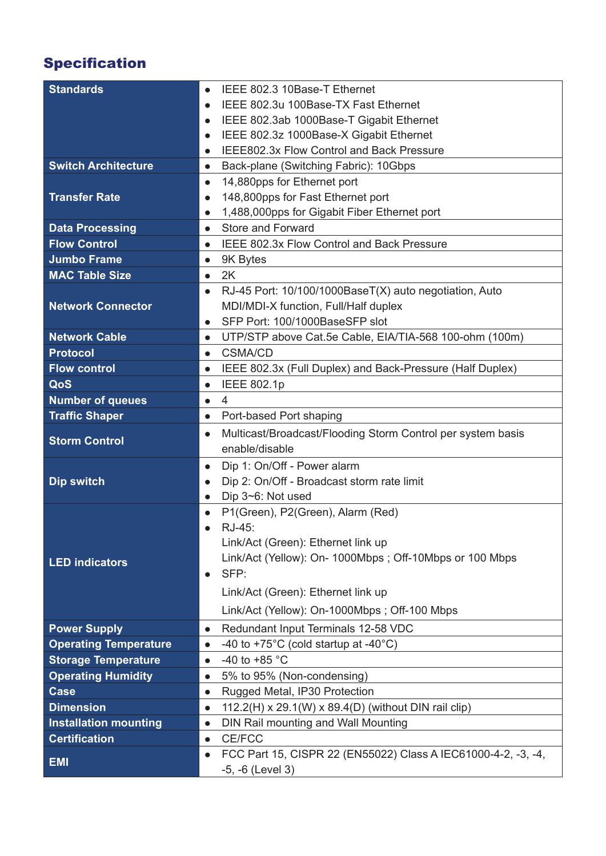# Specification

| <b>Standards</b>             | IEEE 802.3 10Base-T Ethernet<br>$\bullet$                                                   |
|------------------------------|---------------------------------------------------------------------------------------------|
|                              | IEEE 802.3u 100Base-TX Fast Ethernet<br>$\bullet$                                           |
|                              | IEEE 802.3ab 1000Base-T Gigabit Ethernet<br>$\bullet$                                       |
|                              | IEEE 802.3z 1000Base-X Gigabit Ethernet<br>$\bullet$                                        |
|                              | IEEE802.3x Flow Control and Back Pressure<br>$\bullet$                                      |
| <b>Switch Architecture</b>   | Back-plane (Switching Fabric): 10Gbps<br>$\bullet$                                          |
|                              | 14,880pps for Ethernet port<br>$\bullet$                                                    |
| <b>Transfer Rate</b>         | 148,800pps for Fast Ethernet port<br>$\bullet$                                              |
|                              | 1,488,000pps for Gigabit Fiber Ethernet port<br>$\bullet$                                   |
| <b>Data Processing</b>       | Store and Forward<br>$\bullet$                                                              |
| <b>Flow Control</b>          | IEEE 802.3x Flow Control and Back Pressure<br>$\bullet$                                     |
| <b>Jumbo Frame</b>           | 9K Bytes<br>$\bullet$                                                                       |
| <b>MAC Table Size</b>        | 2K<br>$\bullet$                                                                             |
|                              | RJ-45 Port: 10/100/1000BaseT(X) auto negotiation, Auto<br>$\bullet$                         |
| <b>Network Connector</b>     | MDI/MDI-X function, Full/Half duplex                                                        |
|                              | SFP Port: 100/1000BaseSFP slot<br>$\bullet$                                                 |
| <b>Network Cable</b>         | UTP/STP above Cat.5e Cable, EIA/TIA-568 100-ohm (100m)<br>$\bullet$                         |
| <b>Protocol</b>              | <b>CSMA/CD</b><br>$\bullet$                                                                 |
| <b>Flow control</b>          | IEEE 802.3x (Full Duplex) and Back-Pressure (Half Duplex)<br>$\bullet$                      |
| QoS                          | <b>IEEE 802.1p</b><br>$\bullet$                                                             |
| <b>Number of queues</b>      | $\overline{\mathcal{A}}$<br>$\bullet$                                                       |
| <b>Traffic Shaper</b>        | Port-based Port shaping<br>$\bullet$                                                        |
|                              |                                                                                             |
| <b>Storm Control</b>         | Multicast/Broadcast/Flooding Storm Control per system basis<br>$\bullet$                    |
|                              | enable/disable                                                                              |
|                              | Dip 1: On/Off - Power alarm<br>$\bullet$                                                    |
| <b>Dip switch</b>            | Dip 2: On/Off - Broadcast storm rate limit<br>$\bullet$                                     |
|                              | Dip 3~6: Not used<br>$\bullet$                                                              |
|                              | P1(Green), P2(Green), Alarm (Red)<br>$\bullet$                                              |
|                              | RJ-45:<br>$\bullet$                                                                         |
|                              | Link/Act (Green): Ethernet link up                                                          |
| <b>LED indicators</b>        | Link/Act (Yellow): On- 1000Mbps; Off-10Mbps or 100 Mbps                                     |
|                              | SFP:<br>$\bullet$                                                                           |
|                              | Link/Act (Green): Ethernet link up                                                          |
|                              | Link/Act (Yellow): On-1000Mbps; Off-100 Mbps                                                |
| <b>Power Supply</b>          | Redundant Input Terminals 12-58 VDC<br>$\bullet$                                            |
| <b>Operating Temperature</b> | -40 to +75 $^{\circ}$ C (cold startup at -40 $^{\circ}$ C)<br>$\bullet$                     |
| <b>Storage Temperature</b>   | -40 to +85 $^{\circ}$ C<br>$\bullet$                                                        |
| <b>Operating Humidity</b>    | 5% to 95% (Non-condensing)<br>$\bullet$                                                     |
| <b>Case</b>                  | Rugged Metal, IP30 Protection<br>$\bullet$                                                  |
| <b>Dimension</b>             | 112.2(H) x 29.1(W) x 89.4(D) (without DIN rail clip)<br>$\bullet$                           |
| <b>Installation mounting</b> | DIN Rail mounting and Wall Mounting<br>$\bullet$                                            |
| <b>Certification</b>         | <b>CE/FCC</b><br>$\bullet$<br>FCC Part 15, CISPR 22 (EN55022) Class A IEC61000-4-2, -3, -4, |